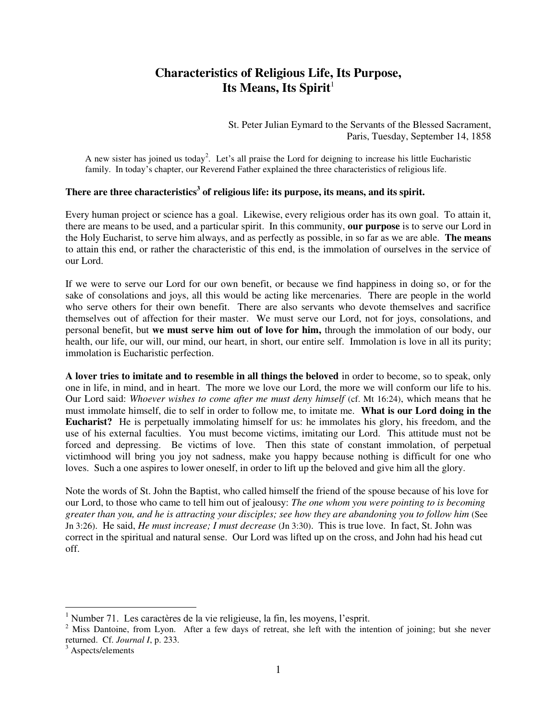## **Characteristics of Religious Life, Its Purpose,**  Its Means, Its Spirit<sup>1</sup>

St. Peter Julian Eymard to the Servants of the Blessed Sacrament, Paris, Tuesday, September 14, 1858

A new sister has joined us today<sup>2</sup>. Let's all praise the Lord for deigning to increase his little Eucharistic family. In today's chapter, our Reverend Father explained the three characteristics of religious life.

## **There are three characteristics<sup>3</sup> of religious life: its purpose, its means, and its spirit.**

Every human project or science has a goal. Likewise, every religious order has its own goal. To attain it, there are means to be used, and a particular spirit. In this community, **our purpose** is to serve our Lord in the Holy Eucharist, to serve him always, and as perfectly as possible, in so far as we are able. **The means** to attain this end, or rather the characteristic of this end, is the immolation of ourselves in the service of our Lord.

If we were to serve our Lord for our own benefit, or because we find happiness in doing so, or for the sake of consolations and joys, all this would be acting like mercenaries. There are people in the world who serve others for their own benefit. There are also servants who devote themselves and sacrifice themselves out of affection for their master. We must serve our Lord, not for joys, consolations, and personal benefit, but **we must serve him out of love for him,** through the immolation of our body, our health, our life, our will, our mind, our heart, in short, our entire self. Immolation is love in all its purity; immolation is Eucharistic perfection.

**A lover tries to imitate and to resemble in all things the beloved** in order to become, so to speak, only one in life, in mind, and in heart. The more we love our Lord, the more we will conform our life to his. Our Lord said: *Whoever wishes to come after me must deny himself* (cf. Mt 16:24), which means that he must immolate himself, die to self in order to follow me, to imitate me. **What is our Lord doing in the Eucharist?** He is perpetually immolating himself for us: he immolates his glory, his freedom, and the use of his external faculties. You must become victims, imitating our Lord. This attitude must not be forced and depressing. Be victims of love. Then this state of constant immolation, of perpetual victimhood will bring you joy not sadness, make you happy because nothing is difficult for one who loves. Such a one aspires to lower oneself, in order to lift up the beloved and give him all the glory.

Note the words of St. John the Baptist, who called himself the friend of the spouse because of his love for our Lord, to those who came to tell him out of jealousy: *The one whom you were pointing to is becoming greater than you, and he is attracting your disciples; see how they are abandoning you to follow him* (See Jn 3:26).He said, *He must increase; I must decrease* (Jn 3:30). This is true love. In fact, St. John was correct in the spiritual and natural sense. Our Lord was lifted up on the cross, and John had his head cut off.

 $\overline{a}$ 

<sup>&</sup>lt;sup>1</sup> Number 71. Les caractères de la vie religieuse, la fin, les moyens, l'esprit.

 $2$  Miss Dantoine, from Lyon. After a few days of retreat, she left with the intention of joining; but she never returned. Cf. *Journal I*, p. 233.

<sup>&</sup>lt;sup>3</sup> Aspects/elements